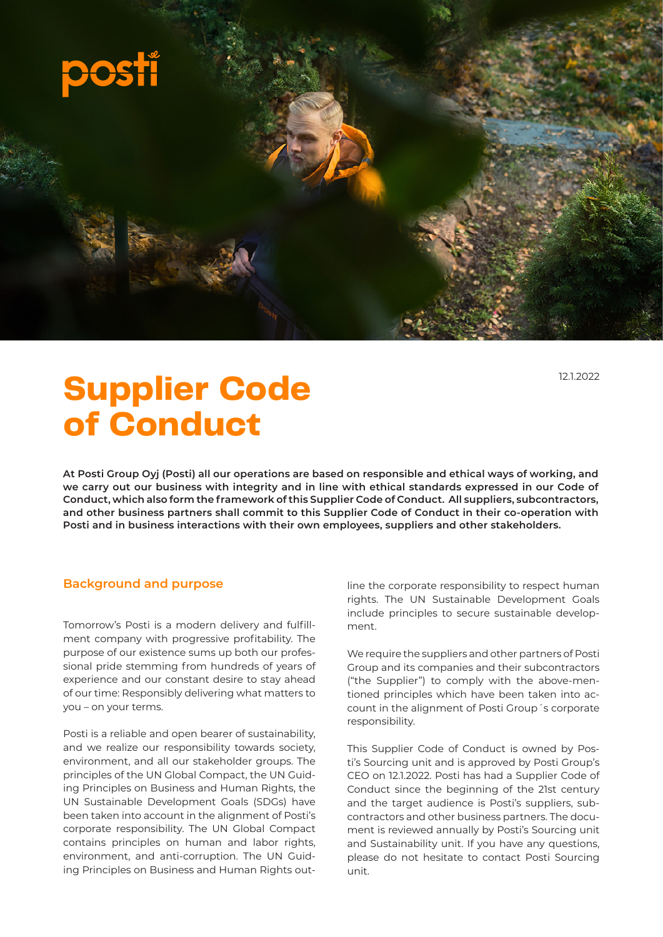

**Supplier Code of Conduct**

**At Posti Group Oyj (Posti) all our operations are based on responsible and ethical ways of working, and we carry out our business with integrity and in line with ethical standards expressed in our Code of Conduct, which also form the framework of this Supplier Code of Conduct. All suppliers, subcontractors, and other business partners shall commit to this Supplier Code of Conduct in their co-operation with Posti and in business interactions with their own employees, suppliers and other stakeholders.**

#### **Background and purpose**

Tomorrow's Posti is a modern delivery and fulfillment company with progressive profitability. The purpose of our existence sums up both our professional pride stemming from hundreds of years of experience and our constant desire to stay ahead of our time: Responsibly delivering what matters to you – on your terms.

Posti is a reliable and open bearer of sustainability, and we realize our responsibility towards society, environment, and all our stakeholder groups. The principles of the UN Global Compact, the UN Guiding Principles on Business and Human Rights, the UN Sustainable Development Goals (SDGs) have been taken into account in the alignment of Posti's corporate responsibility. The UN Global Compact contains principles on human and labor rights, environment, and anti-corruption. The UN Guiding Principles on Business and Human Rights outline the corporate responsibility to respect human rights. The UN Sustainable Development Goals include principles to secure sustainable development.

We require the suppliers and other partners of Posti Group and its companies and their subcontractors ("the Supplier") to comply with the above-mentioned principles which have been taken into account in the alignment of Posti Group´s corporate responsibility.

This Supplier Code of Conduct is owned by Posti's Sourcing unit and is approved by Posti Group's CEO on 12.1.2022. Posti has had a Supplier Code of Conduct since the beginning of the 21st century and the target audience is Posti's suppliers, subcontractors and other business partners. The document is reviewed annually by Posti's Sourcing unit and Sustainability unit. If you have any questions, please do not hesitate to contact Posti Sourcing unit.

121.2022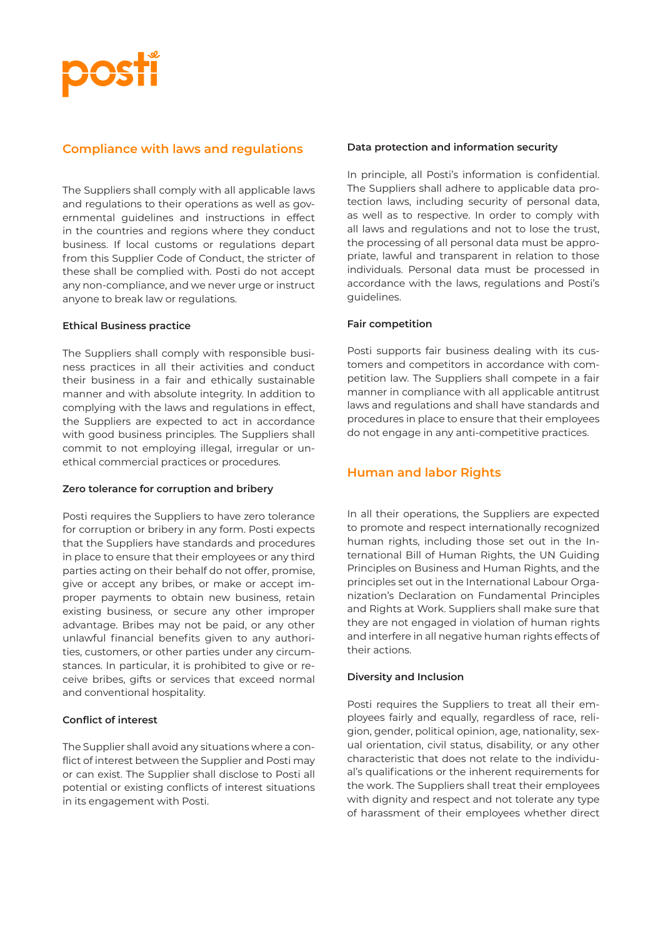

# **Compliance with laws and regulations**

The Suppliers shall comply with all applicable laws and regulations to their operations as well as governmental guidelines and instructions in effect in the countries and regions where they conduct business. If local customs or regulations depart from this Supplier Code of Conduct, the stricter of these shall be complied with. Posti do not accept any non-compliance, and we never urge or instruct anyone to break law or regulations.

#### **Ethical Business practice**

The Suppliers shall comply with responsible business practices in all their activities and conduct their business in a fair and ethically sustainable manner and with absolute integrity. In addition to complying with the laws and regulations in effect, the Suppliers are expected to act in accordance with good business principles. The Suppliers shall commit to not employing illegal, irregular or unethical commercial practices or procedures.

#### **Zero tolerance for corruption and bribery**

Posti requires the Suppliers to have zero tolerance for corruption or bribery in any form. Posti expects that the Suppliers have standards and procedures in place to ensure that their employees or any third parties acting on their behalf do not offer, promise, give or accept any bribes, or make or accept improper payments to obtain new business, retain existing business, or secure any other improper advantage. Bribes may not be paid, or any other unlawful financial benefits given to any authorities, customers, or other parties under any circumstances. In particular, it is prohibited to give or receive bribes, gifts or services that exceed normal and conventional hospitality.

#### **Conflict of interest**

The Supplier shall avoid any situations where a conflict of interest between the Supplier and Posti may or can exist. The Supplier shall disclose to Posti all potential or existing conflicts of interest situations in its engagement with Posti.

### **Data protection and information security**

In principle, all Posti's information is confidential. The Suppliers shall adhere to applicable data protection laws, including security of personal data, as well as to respective. In order to comply with all laws and regulations and not to lose the trust, the processing of all personal data must be appropriate, lawful and transparent in relation to those individuals. Personal data must be processed in accordance with the laws, regulations and Posti's guidelines.

### **Fair competition**

Posti supports fair business dealing with its customers and competitors in accordance with competition law. The Suppliers shall compete in a fair manner in compliance with all applicable antitrust laws and regulations and shall have standards and procedures in place to ensure that their employees do not engage in any anti-competitive practices.

# **Human and labor Rights**

In all their operations, the Suppliers are expected to promote and respect internationally recognized human rights, including those set out in the International Bill of Human Rights, the UN Guiding Principles on Business and Human Rights, and the principles set out in the International Labour Organization's Declaration on Fundamental Principles and Rights at Work. Suppliers shall make sure that they are not engaged in violation of human rights and interfere in all negative human rights effects of their actions.

#### **Diversity and Inclusion**

Posti requires the Suppliers to treat all their employees fairly and equally, regardless of race, religion, gender, political opinion, age, nationality, sexual orientation, civil status, disability, or any other characteristic that does not relate to the individual's qualifications or the inherent requirements for the work. The Suppliers shall treat their employees with dignity and respect and not tolerate any type of harassment of their employees whether direct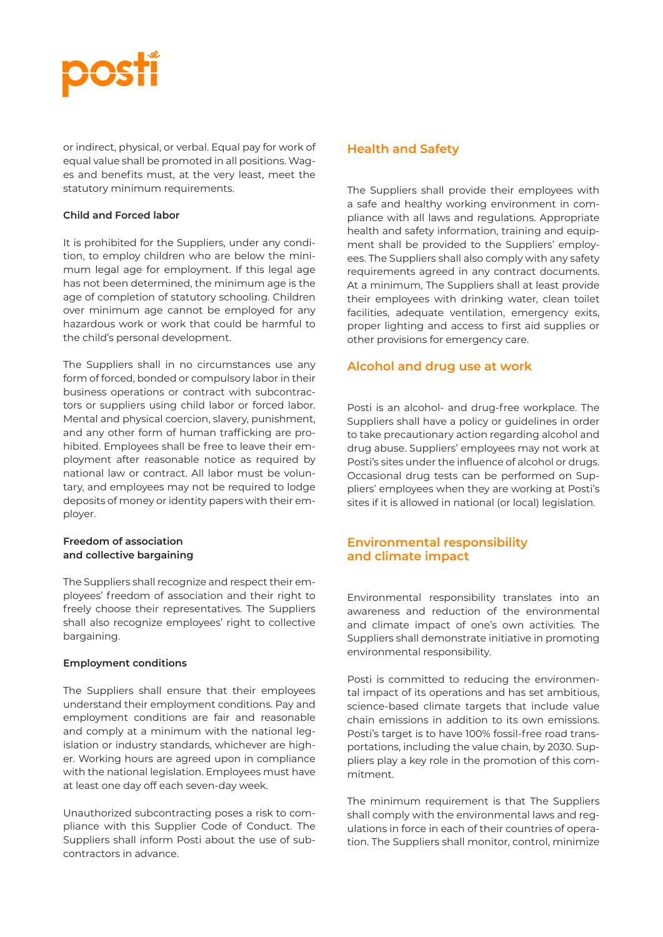

or indirect, physical, or verbal. Equal pay for work of equal value shall be promoted in all positions. Wages and benefits must, at the very least, meet the statutory minimum requirements.

#### **Child and Forced labor**

It is prohibited for the Suppliers, under any condition, to employ children who are below the minimum legal age for employment. If this legal age has not been determined, the minimum age is the age of completion of statutory schooling. Children over minimum age cannot be employed for any hazardous work or work that could be harmful to the child's personal development.

The Suppliers shall in no circumstances use any form of forced, bonded or compulsory labor in their business operations or contract with subcontractors or suppliers using child labor or forced labor. Mental and physical coercion, slavery, punishment, and any other form of human trafficking are prohibited. Employees shall be free to leave their employment after reasonable notice as required by national law or contract. All labor must be voluntary, and employees may not be required to lodge deposits of money or identity papers with their employer.

### **Freedom of association and collective bargaining**

The Suppliers shall recognize and respect their employees' freedom of association and their right to freely choose their representatives. The Suppliers shall also recognize employees' right to collective bargaining.

#### **Employment conditions**

The Suppliers shall ensure that their employees understand their employment conditions. Pay and employment conditions are fair and reasonable and comply at a minimum with the national legislation or industry standards, whichever are higher. Working hours are agreed upon in compliance with the national legislation. Employees must have at least one day off each seven-day week.

Unauthorized subcontracting poses a risk to compliance with this Supplier Code of Conduct. The Suppliers shall inform Posti about the use of subcontractors in advance.

### **Health and Safety**

The Suppliers shall provide their employees with a safe and healthy working environment in compliance with all laws and regulations. Appropriate health and safety information, training and equipment shall be provided to the Suppliers' employees. The Suppliers shall also comply with any safety requirements agreed in any contract documents. At a minimum, The Suppliers shall at least provide their employees with drinking water, clean toilet facilities, adequate ventilation, emergency exits, proper lighting and access to first aid supplies or other provisions for emergency care.

## **Alcohol and drug use at work**

Posti is an alcohol- and drug-free workplace. The Suppliers shall have a policy or guidelines in order to take precautionary action regarding alcohol and drug abuse. Suppliers' employees may not work at Posti's sites under the influence of alcohol or drugs. Occasional drug tests can be performed on Suppliers' employees when they are working at Posti's sites if it is allowed in national (or local) legislation.

# **Environmental responsibility and climate impact**

Environmental responsibility translates into an awareness and reduction of the environmental and climate impact of one's own activities. The Suppliers shall demonstrate initiative in promoting environmental responsibility.

Posti is committed to reducing the environmental impact of its operations and has set ambitious, science-based climate targets that include value chain emissions in addition to its own emissions. Posti's target is to have 100% fossil-free road transportations, including the value chain, by 2030. Suppliers play a key role in the promotion of this commitment.

The minimum requirement is that The Suppliers shall comply with the environmental laws and regulations in force in each of their countries of operation. The Suppliers shall monitor, control, minimize